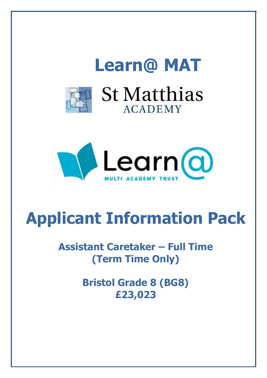



# **Applicant Information Pack**

# **Assistant Caretaker – Full Time (Term Time Only)**

**Bristol Grade 8 (BG8) £23,023**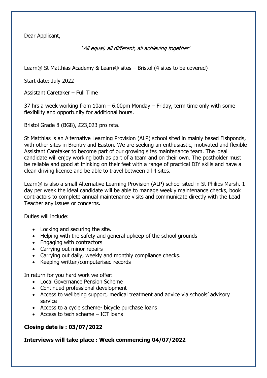Dear Applicant,

'All equal, all different, all achieving together'

Learn@ St Matthias Academy & Learn@ sites – Bristol (4 sites to be covered)

Start date: July 2022

Assistant Caretaker – Full Time

37 hrs a week working from 10am – 6.00pm Monday – Friday, term time only with some flexibility and opportunity for additional hours.

Bristol Grade 8 (BG8), £23,023 pro rata.

St Matthias is an Alternative Learning Provision (ALP) school sited in mainly based Fishponds, with other sites in Brentry and Easton. We are seeking an enthusiastic, motivated and flexible Assistant Caretaker to become part of our growing sites maintenance team. The ideal candidate will enjoy working both as part of a team and on their own. The postholder must be reliable and good at thinking on their feet with a range of practical DIY skills and have a clean driving licence and be able to travel between all 4 sites.

Learn@ is also a small Alternative Learning Provision (ALP) school sited in St Philips Marsh. 1 day per week the ideal candidate will be able to manage weekly maintenance checks, book contractors to complete annual maintenance visits and communicate directly with the Lead Teacher any issues or concerns.

Duties will include:

- Locking and securing the site.
- Helping with the safety and general upkeep of the school grounds
- Engaging with contractors
- Carrying out minor repairs
- Carrying out daily, weekly and monthly compliance checks.
- Keeping written/computerised records

In return for you hard work we offer:

- Local Governance Pension Scheme
- Continued professional development
- Access to wellbeing support, medical treatment and advice via schools' advisory service
- Access to a cycle scheme- bicycle purchase loans
- Access to tech scheme  $-$  ICT loans

## **Closing date is : 03/07/2022**

**Interviews will take place : Week commencing 04/07/2022**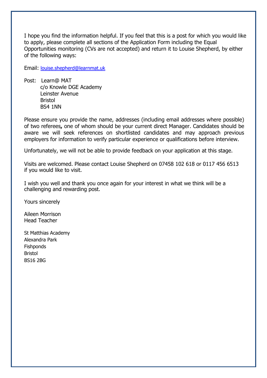I hope you find the information helpful. If you feel that this is a post for which you would like to apply, please complete all sections of the Application Form including the Equal Opportunities monitoring (CVs are not accepted) and return it to Louise Shepherd, by either of the following ways:

Email: louise.shepherd@learnmat.uk

Post: Learn@ MAT c/o Knowle DGE Academy Leinster Avenue Bristol BS4 1NN

Please ensure you provide the name, addresses (including email addresses where possible) of two referees**,** one of whom should be your current direct Manager. Candidates should be aware we will seek references on shortlisted candidates and may approach previous employers for information to verify particular experience or qualifications before interview.

Unfortunately, we will not be able to provide feedback on your application at this stage.

Visits are welcomed. Please contact Louise Shepherd on 07458 102 618 or 0117 456 6513 if you would like to visit.

I wish you well and thank you once again for your interest in what we think will be a challenging and rewarding post.

Yours sincerely

Aileen Morrison Head Teacher

St Matthias Academy Alexandra Park **Fishponds** Bristol BS16 2BG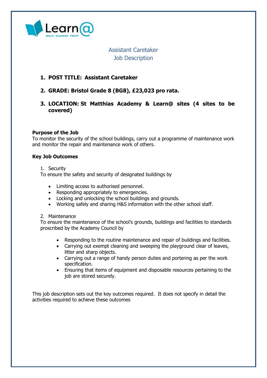

Assistant Caretaker Job Description

#### **1. POST TITLE: Assistant Caretaker**

- **2. GRADE: Bristol Grade 8 (BG8), £23,023 pro rata.**
- **3. LOCATION: St Matthias Academy & Learn@ sites (4 sites to be covered)**

#### **Purpose of the Job**

To monitor the security of the school buildings, carry out a programme of maintenance work and monitor the repair and maintenance work of others.

#### **Key Job Outcomes**

1. Security

To ensure the safety and security of designated buildings by

- Limiting access to authorised personnel.
- Responding appropriately to emergencies.
- Locking and unlocking the school buildings and grounds.
- Working safely and sharing H&S information with the other school staff.

#### 2. Maintenance

To ensure the maintenance of the school's grounds, buildings and facilities to standards proscribed by the Academy Council by

- Responding to the routine maintenance and repair of buildings and facilities.
- Carrying out exempt cleaning and sweeping the playground clear of leaves, litter and sharp objects.
- Carrying out a range of handy person duties and portering as per the work specification.
- Ensuring that items of equipment and disposable resources pertaining to the job are stored securely.

This job description sets out the key outcomes required. It does not specify in detail the activities required to achieve these outcomes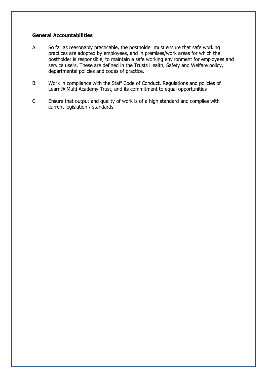#### **General Accountabilities**

- A. So far as reasonably practicable, the postholder must ensure that safe working practices are adopted by employees, and in premises/work areas for which the postholder is responsible, to maintain a safe working environment for employees and service users. These are defined in the Trusts Health, Safety and Welfare policy, departmental policies and codes of practice.
- B. Work in compliance with the Staff Code of Conduct, Regulations and policies of Learn@ Multi Academy Trust, and its commitment to equal opportunities
- C. Ensure that output and quality of work is of a high standard and complies with current legislation / standards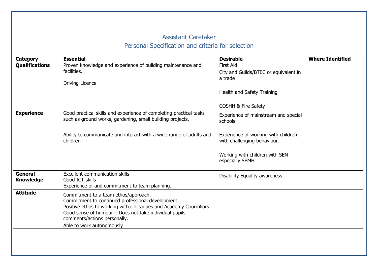# Assistant Caretaker Personal Specification and criteria for selection

| <b>Category</b>                    | <b>Essential</b>                                                                                                                                                                                                                                                                        | <b>Desirable</b>                                                                                                                                                            | <b>Where Identified</b> |
|------------------------------------|-----------------------------------------------------------------------------------------------------------------------------------------------------------------------------------------------------------------------------------------------------------------------------------------|-----------------------------------------------------------------------------------------------------------------------------------------------------------------------------|-------------------------|
| <b>Qualifications</b>              | Proven knowledge and experience of building maintenance and<br>facilities.<br><b>Driving Licence</b>                                                                                                                                                                                    | <b>First Aid</b><br>City and Guilds/BTEC or equivalent in<br>a trade<br>Health and Safety Training<br><b>COSHH &amp; Fire Safety</b>                                        |                         |
| <b>Experience</b>                  | Good practical skills and experience of completing practical tasks<br>such as ground works, gardening, small building projects.<br>Ability to communicate and interact with a wide range of adults and<br>children                                                                      | Experience of mainstream and special<br>schools.<br>Experience of working with children<br>with challenging behaviour.<br>Working with children with SEN<br>especially SEMH |                         |
| <b>General</b><br><b>Knowledge</b> | <b>Excellent communication skills</b><br>Good ICT skills<br>Experience of and commitment to team planning.                                                                                                                                                                              | Disability Equality awareness.                                                                                                                                              |                         |
| <b>Attitude</b>                    | Commitment to a team ethos/approach.<br>Commitment to continued professional development.<br>Positive ethos to working with colleagues and Academy Councillors.<br>Good sense of humour - Does not take individual pupils'<br>comments/actions personally.<br>Able to work autonomously |                                                                                                                                                                             |                         |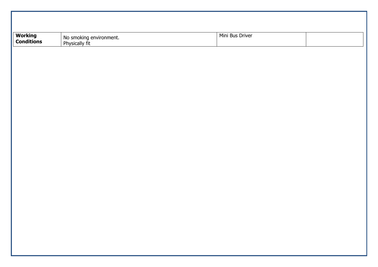| <b>Working<br/>Conditions</b> | No smoking environment.<br>Physically fit | Mini Bus Driver |  |
|-------------------------------|-------------------------------------------|-----------------|--|
|                               |                                           |                 |  |
|                               |                                           |                 |  |
|                               |                                           |                 |  |
|                               |                                           |                 |  |
|                               |                                           |                 |  |
|                               |                                           |                 |  |
|                               |                                           |                 |  |
|                               |                                           |                 |  |
|                               |                                           |                 |  |
|                               |                                           |                 |  |
|                               |                                           |                 |  |
|                               |                                           |                 |  |
|                               |                                           |                 |  |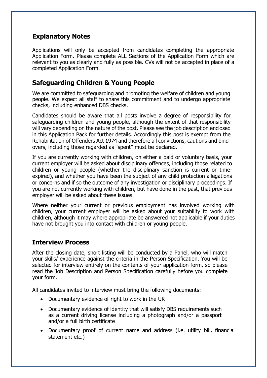# **Explanatory Notes**

Applications will only be accepted from candidates completing the appropriate Application Form. Please complete ALL Sections of the Application Form which are relevant to you as clearly and fully as possible. CVs will not be accepted in place of a completed Application Form.

# **Safeguarding Children & Young People**

We are committed to safeguarding and promoting the welfare of children and young people. We expect all staff to share this commitment and to undergo appropriate checks, including enhanced DBS checks.

Candidates should be aware that all posts involve a degree of responsibility for safeguarding children and young people, although the extent of that responsibility will vary depending on the nature of the post. Please see the job description enclosed in this Application Pack for further details. Accordingly this post is exempt from the Rehabilitation of Offenders Act 1974 and therefore all convictions, cautions and bindovers, including those regarded as "spent" must be declared.

If you are currently working with children, on either a paid or voluntary basis, your current employer will be asked about disciplinary offences, including those related to children or young people (whether the disciplinary sanction is current or timeexpired), and whether you have been the subject of any child protection allegations or concerns and if so the outcome of any investigation or disciplinary proceedings. If you are not currently working with children, but have done in the past, that previous employer will be asked about these issues.

Where neither your current or previous employment has involved working with children, your current employer will be asked about your suitability to work with children, although it may where appropriate be answered not applicable if your duties have not brought you into contact with children or young people.

## **Interview Process**

After the closing date, short listing will be conducted by a Panel, who will match your skills/ experience against the criteria in the Person Specification. You will be selected for interview entirely on the contents of your application form, so please read the Job Description and Person Specification carefully before you complete your form.

All candidates invited to interview must bring the following documents:

- Documentary evidence of right to work in the UK
- Documentary evidence of identity that will satisfy DBS requirements such as a current driving license including a photograph and/or a passport and/or a full birth certificate
- Documentary proof of current name and address (i.e. utility bill, financial statement etc.)